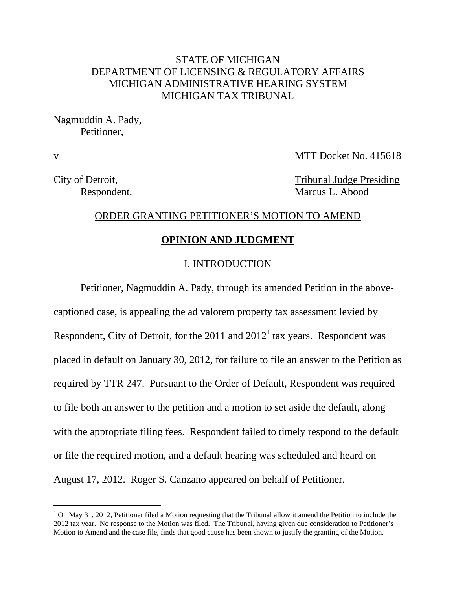## STATE OF MICHIGAN DEPARTMENT OF LICENSING & REGULATORY AFFAIRS MICHIGAN ADMINISTRATIVE HEARING SYSTEM MICHIGAN TAX TRIBUNAL

Nagmuddin A. Pady, Petitioner,

 $\overline{a}$ 

v MTT Docket No. 415618

City of Detroit, Tribunal Judge Presiding Respondent. Marcus L. Abood

#### ORDER GRANTING PETITIONER'S MOTION TO AMEND

#### **OPINION AND JUDGMENT**

### I. INTRODUCTION

Petitioner, Nagmuddin A. Pady, through its amended Petition in the abovecaptioned case, is appealing the ad valorem property tax assessment levied by Respondent, City of Detroit, for the 2011 and  $2012<sup>1</sup>$  tax years. Respondent was placed in default on January 30, 2012, for failure to file an answer to the Petition as required by TTR 247. Pursuant to the Order of Default, Respondent was required to file both an answer to the petition and a motion to set aside the default, along with the appropriate filing fees. Respondent failed to timely respond to the default or file the required motion, and a default hearing was scheduled and heard on August 17, 2012. Roger S. Canzano appeared on behalf of Petitioner.

 $1$  On May 31, 2012, Petitioner filed a Motion requesting that the Tribunal allow it amend the Petition to include the 2012 tax year. No response to the Motion was filed. The Tribunal, having given due consideration to Petitioner's Motion to Amend and the case file, finds that good cause has been shown to justify the granting of the Motion.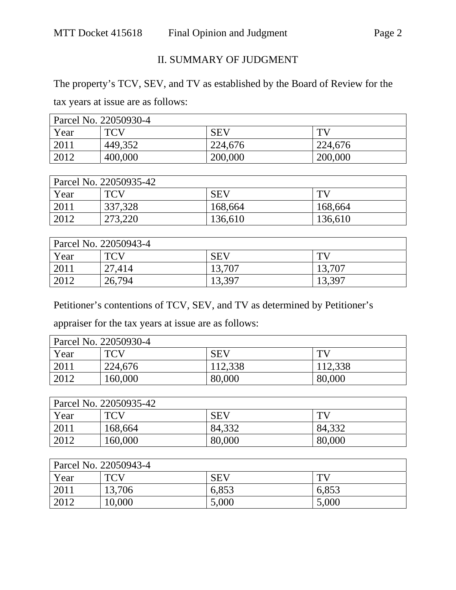# II. SUMMARY OF JUDGMENT

The property's TCV, SEV, and TV as established by the Board of Review for the

tax years at issue are as follows:

| Parcel No. 22050930-4 |            |            |         |  |
|-----------------------|------------|------------|---------|--|
| Year                  | <b>TCV</b> | <b>SEV</b> | TV      |  |
| 2011                  | 449,352    | 224,676    | 224,676 |  |
| 2012                  | 400,000    | 200,000    | 200,000 |  |

| Parcel No. 22050935-42 |            |            |         |  |
|------------------------|------------|------------|---------|--|
| Year                   | <b>TCV</b> | <b>SEV</b> | TV.     |  |
| 2011                   | 337,328    | 168,664    | 168,664 |  |
| 2012                   | 273,220    | 136,610    | 136,610 |  |

| Parcel No. 22050943-4 |            |            |        |  |
|-----------------------|------------|------------|--------|--|
| Year                  | <b>TCV</b> | <b>SEV</b> | TV     |  |
| 2011                  | 27,414     | 13,707     | 13,707 |  |
| 2012                  | 26,794     | 13,397     | 13,397 |  |

Petitioner's contentions of TCV, SEV, and TV as determined by Petitioner's

appraiser for the tax years at issue are as follows:

| Parcel No. 22050930-4 |            |            |              |  |
|-----------------------|------------|------------|--------------|--|
| Year                  | <b>TCV</b> | <b>SEV</b> | $\mathbf{T}$ |  |
| 2011                  | 224,676    | 112,338    | 112,338      |  |
| 2012                  | 160,000    | 80,000     | 80,000       |  |

| Parcel No. 22050935-42 |            |            |        |  |
|------------------------|------------|------------|--------|--|
| Year                   | <b>TCV</b> | <b>SEV</b> | TV)    |  |
| 2011                   | 168,664    | 84,332     | 84,332 |  |
| 2012                   | 160,000    | 80,000     | 80,000 |  |

| Parcel No. 22050943-4 |            |            |       |  |
|-----------------------|------------|------------|-------|--|
| Year                  | <b>TCV</b> | <b>SEV</b> | TV)   |  |
| 2011                  | 13,706     | 6,853      | 6,853 |  |
| 2012                  | 10,000     | 5,000      | 5,000 |  |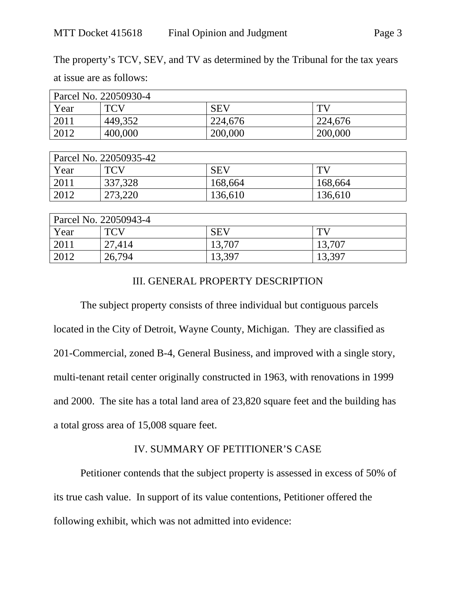The property's TCV, SEV, and TV as determined by the Tribunal for the tax years

at issue are as follows:

| Parcel No. 22050930-4 |            |            |         |  |
|-----------------------|------------|------------|---------|--|
| Year                  | <b>TCV</b> | <b>SEV</b> | TV      |  |
| 2011                  | 449,352    | 224,676    | 224,676 |  |
| 2012                  | 400,000    | 200,000    | 200,000 |  |

| Parcel No. 22050935-42 |            |            |         |  |
|------------------------|------------|------------|---------|--|
| Year                   | <b>TCV</b> | <b>SEV</b> | TV      |  |
| 2011                   | 337,328    | 168,664    | 168,664 |  |
| 2012                   | 273,220    | 136,610    | 136,610 |  |

| Parcel No. 22050943-4 |            |            |        |  |
|-----------------------|------------|------------|--------|--|
| Year                  | <b>TCV</b> | <b>SEV</b> | TV     |  |
| 2011                  | 27,414     | 13,707     | 13,707 |  |
| 2012                  | 26,794     | 13,397     | 13,397 |  |

### III. GENERAL PROPERTY DESCRIPTION

The subject property consists of three individual but contiguous parcels located in the City of Detroit, Wayne County, Michigan. They are classified as 201-Commercial, zoned B-4, General Business, and improved with a single story, multi-tenant retail center originally constructed in 1963, with renovations in 1999 and 2000. The site has a total land area of 23,820 square feet and the building has a total gross area of 15,008 square feet.

### IV. SUMMARY OF PETITIONER'S CASE

Petitioner contends that the subject property is assessed in excess of 50% of its true cash value. In support of its value contentions, Petitioner offered the following exhibit, which was not admitted into evidence: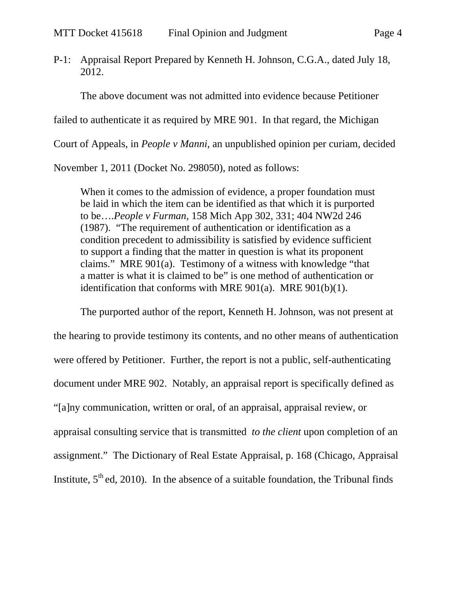P-1: Appraisal Report Prepared by Kenneth H. Johnson, C.G.A., dated July 18, 2012.

The above document was not admitted into evidence because Petitioner failed to authenticate it as required by MRE 901. In that regard, the Michigan Court of Appeals, in *People v Manni,* an unpublished opinion per curiam, decided

November 1, 2011 (Docket No. 298050), noted as follows:

When it comes to the admission of evidence, a proper foundation must be laid in which the item can be identified as that which it is purported to be….*People v Furman*, 158 Mich App 302, 331; 404 NW2d 246 (1987). "The requirement of authentication or identification as a condition precedent to admissibility is satisfied by evidence sufficient to support a finding that the matter in question is what its proponent claims." MRE 901(a). Testimony of a witness with knowledge "that a matter is what it is claimed to be" is one method of authentication or identification that conforms with MRE 901(a). MRE 901(b)(1).

The purported author of the report, Kenneth H. Johnson, was not present at the hearing to provide testimony its contents, and no other means of authentication were offered by Petitioner. Further, the report is not a public, self-authenticating document under MRE 902. Notably, an appraisal report is specifically defined as "[a]ny communication, written or oral, of an appraisal, appraisal review, or appraisal consulting service that is transmitted *to the client* upon completion of an assignment." The Dictionary of Real Estate Appraisal, p. 168 (Chicago, Appraisal Institute,  $5<sup>th</sup>$  ed, 2010). In the absence of a suitable foundation, the Tribunal finds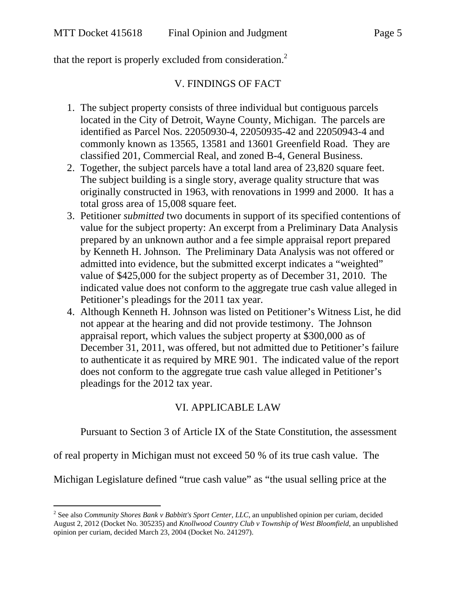$\overline{a}$ 

that the report is properly excluded from consideration.<sup>2</sup>

## V. FINDINGS OF FACT

- 1. The subject property consists of three individual but contiguous parcels located in the City of Detroit, Wayne County, Michigan. The parcels are identified as Parcel Nos. 22050930-4, 22050935-42 and 22050943-4 and commonly known as 13565, 13581 and 13601 Greenfield Road. They are classified 201, Commercial Real, and zoned B-4, General Business.
- 2. Together, the subject parcels have a total land area of 23,820 square feet. The subject building is a single story, average quality structure that was originally constructed in 1963, with renovations in 1999 and 2000. It has a total gross area of 15,008 square feet.
- 3. Petitioner *submitted* two documents in support of its specified contentions of value for the subject property: An excerpt from a Preliminary Data Analysis prepared by an unknown author and a fee simple appraisal report prepared by Kenneth H. Johnson. The Preliminary Data Analysis was not offered or admitted into evidence, but the submitted excerpt indicates a "weighted" value of \$425,000 for the subject property as of December 31, 2010. The indicated value does not conform to the aggregate true cash value alleged in Petitioner's pleadings for the 2011 tax year.
- 4. Although Kenneth H. Johnson was listed on Petitioner's Witness List, he did not appear at the hearing and did not provide testimony. The Johnson appraisal report, which values the subject property at \$300,000 as of December 31, 2011, was offered, but not admitted due to Petitioner's failure to authenticate it as required by MRE 901. The indicated value of the report does not conform to the aggregate true cash value alleged in Petitioner's pleadings for the 2012 tax year.

# VI. APPLICABLE LAW

Pursuant to Section 3 of Article IX of the State Constitution, the assessment

of real property in Michigan must not exceed 50 % of its true cash value. The

Michigan Legislature defined "true cash value" as "the usual selling price at the

<sup>&</sup>lt;sup>2</sup> See also *Community Shores Bank v Babbitt's Sport Center, LLC*, an unpublished opinion per curiam, decided August 2, 2012 (Docket No. 305235) and *Knollwood Country Club v Township of West Bloomfield*, an unpublished opinion per curiam, decided March 23, 2004 (Docket No. 241297).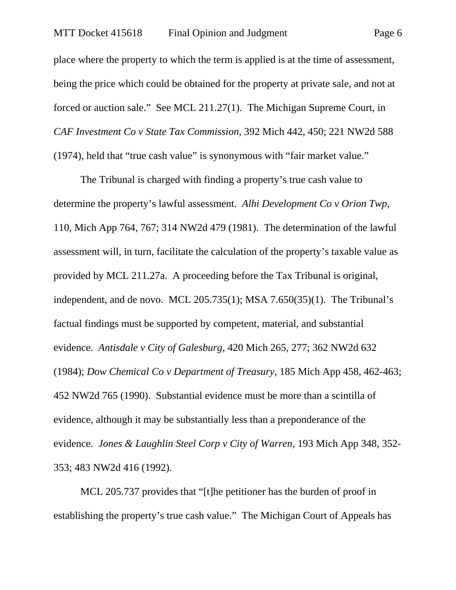place where the property to which the term is applied is at the time of assessment, being the price which could be obtained for the property at private sale, and not at forced or auction sale." See MCL 211.27(1). The Michigan Supreme Court, in *CAF Investment Co v State Tax Commission*, 392 Mich 442, 450; 221 NW2d 588 (1974), held that "true cash value" is synonymous with "fair market value."

The Tribunal is charged with finding a property's true cash value to determine the property's lawful assessment. *Alhi Development Co v Orion Twp*, 110, Mich App 764, 767; 314 NW2d 479 (1981). The determination of the lawful assessment will, in turn, facilitate the calculation of the property's taxable value as provided by MCL 211.27a. A proceeding before the Tax Tribunal is original, independent, and de novo. MCL 205.735(1); MSA 7.650(35)(1). The Tribunal's factual findings must be supported by competent, material, and substantial evidence. *Antisdale v City of Galesburg*, 420 Mich 265, 277; 362 NW2d 632 (1984); *Dow Chemical Co v Department of Treasury*, 185 Mich App 458, 462-463; 452 NW2d 765 (1990). Substantial evidence must be more than a scintilla of evidence, although it may be substantially less than a preponderance of the evidence. *Jones & Laughlin Steel Corp v City of Warren*, 193 Mich App 348, 352- 353; 483 NW2d 416 (1992).

MCL 205.737 provides that "[t]he petitioner has the burden of proof in establishing the property's true cash value." The Michigan Court of Appeals has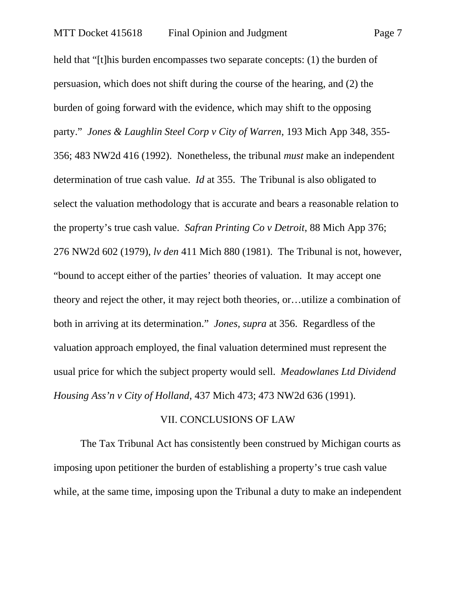held that "[t]his burden encompasses two separate concepts: (1) the burden of persuasion, which does not shift during the course of the hearing, and (2) the burden of going forward with the evidence, which may shift to the opposing party." *Jones & Laughlin Steel Corp v City of Warren*, 193 Mich App 348, 355- 356; 483 NW2d 416 (1992). Nonetheless, the tribunal *must* make an independent determination of true cash value. *Id* at 355. The Tribunal is also obligated to select the valuation methodology that is accurate and bears a reasonable relation to the property's true cash value. *Safran Printing Co v Detroit*, 88 Mich App 376; 276 NW2d 602 (1979), *lv den* 411 Mich 880 (1981). The Tribunal is not, however, "bound to accept either of the parties' theories of valuation. It may accept one theory and reject the other, it may reject both theories, or…utilize a combination of both in arriving at its determination." *Jones, supra* at 356. Regardless of the valuation approach employed, the final valuation determined must represent the usual price for which the subject property would sell. *Meadowlanes Ltd Dividend Housing Ass'n v City of Holland*, 437 Mich 473; 473 NW2d 636 (1991).

### VII. CONCLUSIONS OF LAW

The Tax Tribunal Act has consistently been construed by Michigan courts as imposing upon petitioner the burden of establishing a property's true cash value while, at the same time, imposing upon the Tribunal a duty to make an independent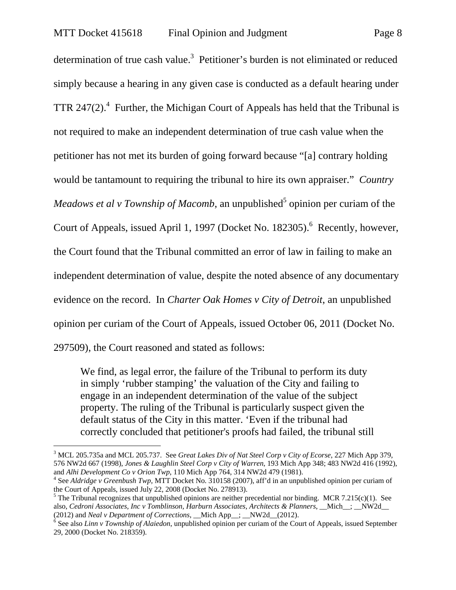determination of true cash value.<sup>3</sup> Petitioner's burden is not eliminated or reduced simply because a hearing in any given case is conducted as a default hearing under TTR 247(2).<sup>4</sup> Further, the Michigan Court of Appeals has held that the Tribunal is not required to make an independent determination of true cash value when the petitioner has not met its burden of going forward because "[a] contrary holding would be tantamount to requiring the tribunal to hire its own appraiser." *Country Meadows et al v Township of Macomb*, an unpublished<sup>5</sup> opinion per curiam of the Court of Appeals, issued April 1, 1997 (Docket No. 182305).<sup>6</sup> Recently, however, the Court found that the Tribunal committed an error of law in failing to make an independent determination of value, despite the noted absence of any documentary evidence on the record. In *Charter Oak Homes v City of Detroit*, an unpublished opinion per curiam of the Court of Appeals, issued October 06, 2011 (Docket No. 297509), the Court reasoned and stated as follows:

We find, as legal error, the failure of the Tribunal to perform its duty in simply 'rubber stamping' the valuation of the City and failing to engage in an independent determination of the value of the subject property. The ruling of the Tribunal is particularly suspect given the default status of the City in this matter. 'Even if the tribunal had correctly concluded that petitioner's proofs had failed, the tribunal still

l

<sup>3</sup> MCL 205.735a and MCL 205.737. See *Great Lakes Div of Nat Steel Corp v City of Ecorse*, 227 Mich App 379, 576 NW2d 667 (1998), *Jones & Laughlin Steel Corp v City of Warren*, 193 Mich App 348; 483 NW2d 416 (1992), and *Alhi Development Co v Orion Twp*, 110 Mich App 764, 314 NW2d 479 (1981). 4

See *Aldridge v Greenbush Twp,* MTT Docket No. 310158 (2007), aff'd in an unpublished opinion per curiam of the Court of Appeals, issued July 22, 2008 (Docket No. 278913).

<sup>&</sup>lt;sup>5</sup> The Tribunal recognizes that unpublished opinions are neither precedential nor binding. MCR 7.215(c)(1). See also, *Cedroni Associates, Inc v Tomblinson, Harburn Associates, Architects & Planners*, \_\_Mich\_; \_\_NW2d (2012) and *Neal v Department of Corrections*, \_\_Mich App\_\_; \_\_NW2d\_\_(2012). 6

<sup>&</sup>lt;sup>6</sup> See also *Linn v Township of Alaiedon*, unpublished opinion per curiam of the Court of Appeals, issued September 29, 2000 (Docket No. 218359).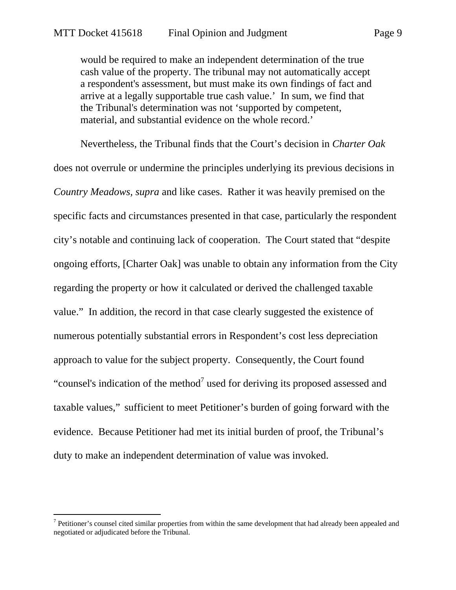would be required to make an independent determination of the true cash value of the property. The tribunal may not automatically accept a respondent's assessment, but must make its own findings of fact and arrive at a legally supportable true cash value.' In sum, we find that the Tribunal's determination was not 'supported by competent, material, and substantial evidence on the whole record.'

Nevertheless, the Tribunal finds that the Court's decision in *Charter Oak* does not overrule or undermine the principles underlying its previous decisions in *Country Meadows, supra* and like cases. Rather it was heavily premised on the specific facts and circumstances presented in that case, particularly the respondent city's notable and continuing lack of cooperation. The Court stated that "despite ongoing efforts, [Charter Oak] was unable to obtain any information from the City regarding the property or how it calculated or derived the challenged taxable value." In addition, the record in that case clearly suggested the existence of numerous potentially substantial errors in Respondent's cost less depreciation approach to value for the subject property. Consequently, the Court found "counsel's indication of the method<sup>7</sup> used for deriving its proposed assessed and taxable values," sufficient to meet Petitioner's burden of going forward with the evidence. Because Petitioner had met its initial burden of proof, the Tribunal's duty to make an independent determination of value was invoked.

-

 $<sup>7</sup>$  Petitioner's counsel cited similar properties from within the same development that had already been appealed and</sup> negotiated or adjudicated before the Tribunal.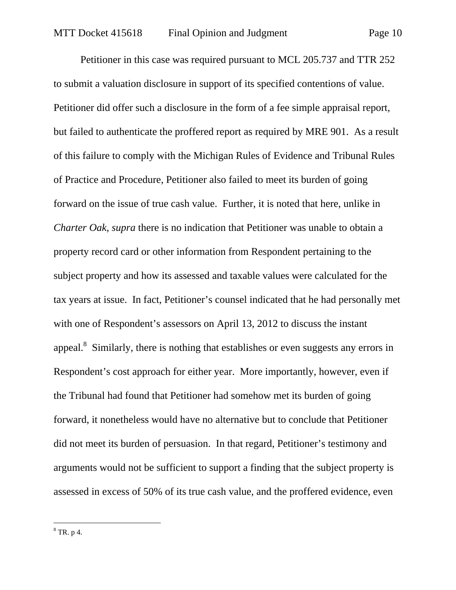Petitioner in this case was required pursuant to MCL 205.737 and TTR 252 to submit a valuation disclosure in support of its specified contentions of value. Petitioner did offer such a disclosure in the form of a fee simple appraisal report, but failed to authenticate the proffered report as required by MRE 901. As a result of this failure to comply with the Michigan Rules of Evidence and Tribunal Rules of Practice and Procedure, Petitioner also failed to meet its burden of going forward on the issue of true cash value. Further, it is noted that here, unlike in *Charter Oak*, *supra* there is no indication that Petitioner was unable to obtain a property record card or other information from Respondent pertaining to the subject property and how its assessed and taxable values were calculated for the tax years at issue. In fact, Petitioner's counsel indicated that he had personally met with one of Respondent's assessors on April 13, 2012 to discuss the instant appeal. $8$  Similarly, there is nothing that establishes or even suggests any errors in Respondent's cost approach for either year. More importantly, however, even if the Tribunal had found that Petitioner had somehow met its burden of going forward, it nonetheless would have no alternative but to conclude that Petitioner did not meet its burden of persuasion. In that regard, Petitioner's testimony and arguments would not be sufficient to support a finding that the subject property is assessed in excess of 50% of its true cash value, and the proffered evidence, even

 $\overline{a}$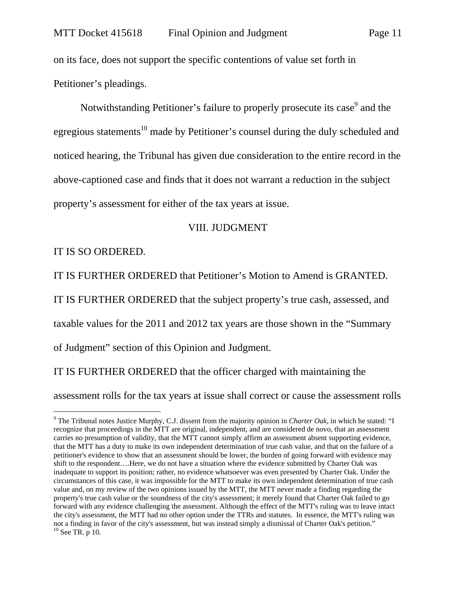on its face, does not support the specific contentions of value set forth in Petitioner's pleadings.

Notwithstanding Petitioner's failure to properly prosecute its case<sup>9</sup> and the egregious statements<sup>10</sup> made by Petitioner's counsel during the duly scheduled and noticed hearing, the Tribunal has given due consideration to the entire record in the above-captioned case and finds that it does not warrant a reduction in the subject property's assessment for either of the tax years at issue.

### VIII. JUDGMENT

IT IS SO ORDERED.

 $\overline{a}$ 

IT IS FURTHER ORDERED that Petitioner's Motion to Amend is GRANTED.

IT IS FURTHER ORDERED that the subject property's true cash, assessed, and

taxable values for the 2011 and 2012 tax years are those shown in the "Summary

of Judgment" section of this Opinion and Judgment.

IT IS FURTHER ORDERED that the officer charged with maintaining the assessment rolls for the tax years at issue shall correct or cause the assessment rolls

<sup>9</sup> The Tribunal notes Justice Murphy, C.J. dissent from the majority opinion in *Charter Oak*, in which he stated: "I recognize that proceedings in the MTT are original, independent, and are considered de novo, that an assessment carries no presumption of validity, that the MTT cannot simply affirm an assessment absent supporting evidence, that the MTT has a duty to make its own independent determination of true cash value, and that on the failure of a petitioner's evidence to show that an assessment should be lower, the burden of going forward with evidence may shift to the respondent….Here, we do not have a situation where the evidence submitted by Charter Oak was inadequate to support its position; rather, no evidence whatsoever was even presented by Charter Oak. Under the circumstances of this case, it was impossible for the MTT to make its own independent determination of true cash value and, on my review of the two opinions issued by the MTT, the MTT never made a finding regarding the property's true cash value or the soundness of the city's assessment; it merely found that Charter Oak failed to go forward with any evidence challenging the assessment. Although the effect of the MTT's ruling was to leave intact the city's assessment, the MTT had no other option under the TTRs and statutes. In essence, the MTT's ruling was not a finding in favor of the city's assessment, but was instead simply a dismissal of Charter Oak's petition." <sup>10</sup> See TR. p 10.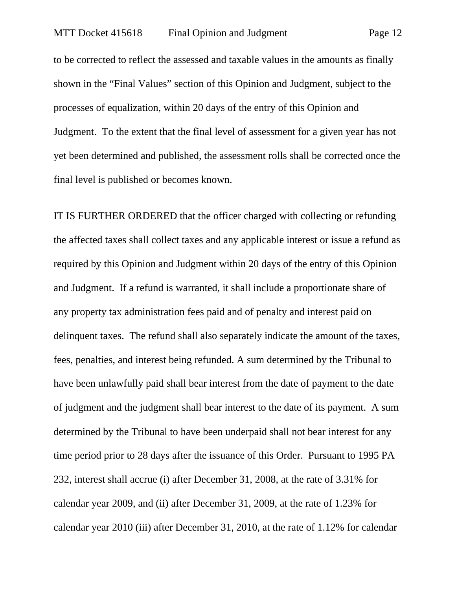to be corrected to reflect the assessed and taxable values in the amounts as finally shown in the "Final Values" section of this Opinion and Judgment, subject to the processes of equalization, within 20 days of the entry of this Opinion and Judgment. To the extent that the final level of assessment for a given year has not yet been determined and published, the assessment rolls shall be corrected once the final level is published or becomes known.

IT IS FURTHER ORDERED that the officer charged with collecting or refunding the affected taxes shall collect taxes and any applicable interest or issue a refund as required by this Opinion and Judgment within 20 days of the entry of this Opinion and Judgment. If a refund is warranted, it shall include a proportionate share of any property tax administration fees paid and of penalty and interest paid on delinquent taxes. The refund shall also separately indicate the amount of the taxes, fees, penalties, and interest being refunded. A sum determined by the Tribunal to have been unlawfully paid shall bear interest from the date of payment to the date of judgment and the judgment shall bear interest to the date of its payment. A sum determined by the Tribunal to have been underpaid shall not bear interest for any time period prior to 28 days after the issuance of this Order. Pursuant to 1995 PA 232, interest shall accrue (i) after December 31, 2008, at the rate of 3.31% for calendar year 2009, and (ii) after December 31, 2009, at the rate of 1.23% for calendar year 2010 (iii) after December 31, 2010, at the rate of 1.12% for calendar